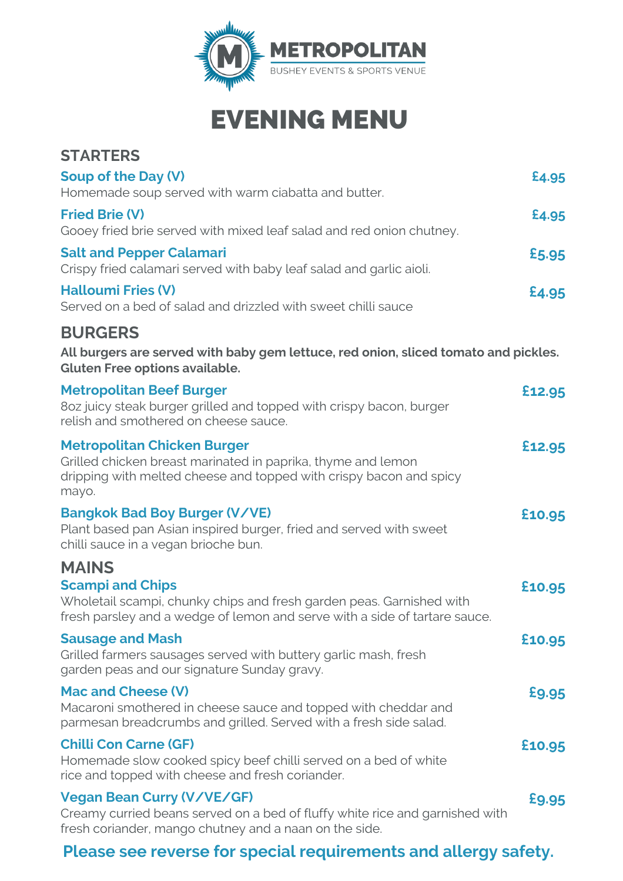

## EVENING MENU

| <b>STARTERS</b>                                                                                                                                                                               |        |
|-----------------------------------------------------------------------------------------------------------------------------------------------------------------------------------------------|--------|
| Soup of the Day (V)<br>Homemade soup served with warm ciabatta and butter.                                                                                                                    | £4.95  |
| <b>Fried Brie (V)</b><br>Gooey fried brie served with mixed leaf salad and red onion chutney.                                                                                                 | £4.95  |
| <b>Salt and Pepper Calamari</b><br>Crispy fried calamari served with baby leaf salad and garlic aioli.                                                                                        | £5.95  |
| <b>Halloumi Fries (V)</b><br>Served on a bed of salad and drizzled with sweet chilli sauce                                                                                                    | £4.95  |
| <b>BURGERS</b><br>All burgers are served with baby gem lettuce, red onion, sliced tomato and pickles.<br><b>Gluten Free options available.</b>                                                |        |
| <b>Metropolitan Beef Burger</b><br>8oz juicy steak burger grilled and topped with crispy bacon, burger<br>relish and smothered on cheese sauce.                                               | £12.95 |
| <b>Metropolitan Chicken Burger</b><br>Grilled chicken breast marinated in paprika, thyme and lemon<br>dripping with melted cheese and topped with crispy bacon and spicy<br>mayo.             | £12.95 |
| <b>Bangkok Bad Boy Burger (V/VE)</b><br>Plant based pan Asian inspired burger, fried and served with sweet<br>chilli sauce in a vegan brioche bun.                                            | £10.95 |
| <b>MAINS</b><br><b>Scampi and Chips</b><br>Wholetail scampi, chunky chips and fresh garden peas. Garnished with<br>fresh parsley and a wedge of lemon and serve with a side of tartare sauce. | £10.95 |
| <b>Sausage and Mash</b><br>Grilled farmers sausages served with buttery garlic mash, fresh<br>garden peas and our signature Sunday gravy.                                                     | £10.95 |
| <b>Mac and Cheese (V)</b><br>Macaroni smothered in cheese sauce and topped with cheddar and<br>parmesan breadcrumbs and grilled. Served with a fresh side salad.                              | £9.95  |
| <b>Chilli Con Carne (GF)</b><br>Homemade slow cooked spicy beef chilli served on a bed of white<br>rice and topped with cheese and fresh coriander.                                           | £10.95 |
| <b>Vegan Bean Curry (V/VE/GF)</b><br>Creamy curried beans served on a bed of fluffy white rice and garnished with<br>fresh coriander, mango chutney and a naan on the side.                   | £9.95  |

### **Please see reverse for special requirements and allergy safety.**